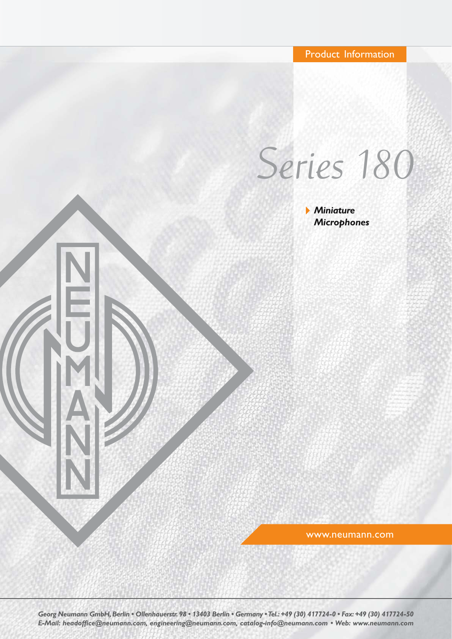*Series 180*

*Miniature Microphones*

## www.neumann.com

*Georg Neumann GmbH, Berlin • Ollenhauerstr. 98 • 13403 Berlin • Germany • Tel.: +49 (30) 417724-0 • Fax: +49 (30) 417724-50 E-Mail: headoffice@neumann.com, engineering@neumann.com, catalog-info@neumann.com • Web: www.neumann.com*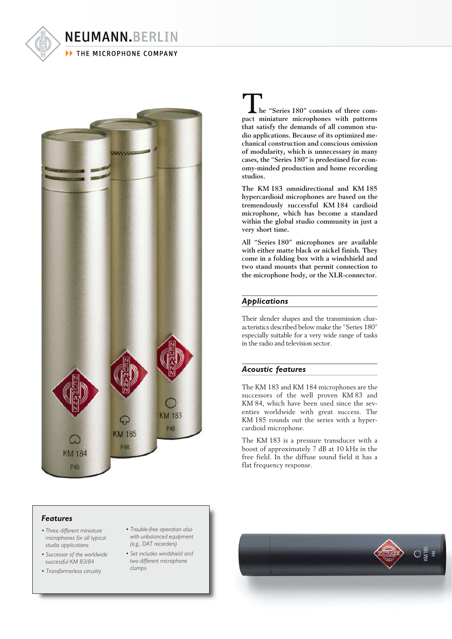NEUMANN.BERLIN

IF THE MICROPHONE COMPANY



**he "Series 180" consists of three compact miniature microphones with patterns that satisfy the demands of all common studio applications. Because of its optimized mechanical construction and conscious omission of modularity, which is unnecessary in many cases, the "Series 180" is predestined for economy-minded production and home recording studios.**

**The KM 183 omnidirectional and KM 185 hypercardioid microphones are based on the tremendously successful KM 184 cardioid microphone, which has become a standard within the global studio community in just a very short time.**

**All "Series 180" microphones are available with either matte black or nickel finish. They come in a folding box with a windshield and two stand mounts that permit connection to the microphone body, or the XLR-connector.**

### *Applications*

Their slender shapes and the transmission characteristics described below make the "Series 180" especially suitable for a very wide range of tasks in the radio and television sector.

### *Acoustic features*

The KM 183 and KM 184 microphones are the successors of the well proven KM 83 and KM 84, which have been used since the seventies worldwide with great success. The KM 185 rounds out the series with a hypercardioid microphone.

The KM 183 is a pressure transducer with a boost of approximately 7 dB at 10 kHz in the free field. In the diffuse sound field it has a flat frequency response.

#### *Features*

- *Three different miniature microphones for all typical studio applications*
- *Successor of the worldwide successful KM 83/84*
- *Transformerless circuitry*
- *Trouble-free operation also with unbalanced equipment (e.g., DAT recorders)*
- *Set includes windshield and two different microphone clamps*

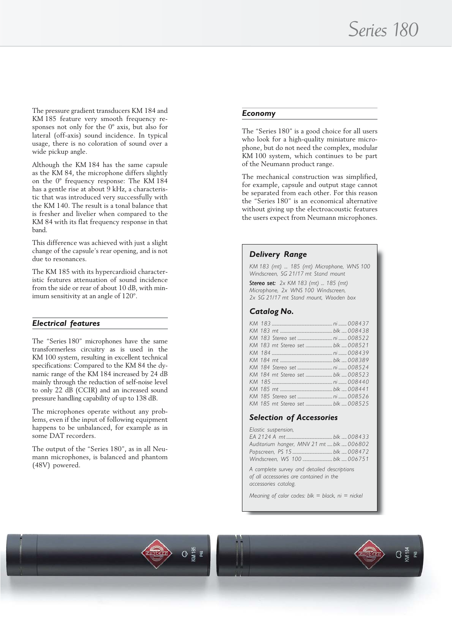The pressure gradient transducers KM 184 and KM 185 feature very smooth frequency responses not only for the 0° axis, but also for lateral (off-axis) sound incidence. In typical usage, there is no coloration of sound over a wide pickup angle.

Although the KM 184 has the same capsule as the KM 84, the microphone differs slightly on the 0° frequency response: The KM 184 has a gentle rise at about 9 kHz, a characteristic that was introduced very successfully with the KM 140. The result is a tonal balance that is fresher and livelier when compared to the KM 84 with its flat frequency response in that band.

This difference was achieved with just a slight change of the capsule's rear opening, and is not due to resonances.

The KM 185 with its hypercardioid characteristic features attenuation of sound incidence from the side or rear of about 10 dB, with minimum sensitivity at an angle of 120°.

#### *Electrical features*

The "Series 180" microphones have the same transformerless circuitry as is used in the KM 100 system, resulting in excellent technical specifications: Compared to the KM 84 the dynamic range of the KM 184 increased by 24 dB mainly through the reduction of self-noise level to only 22 dB (CCIR) and an increased sound pressure handling capability of up to 138 dB.

The microphones operate without any problems, even if the input of following equipment happens to be unbalanced, for example as in some DAT recorders.

The output of the "Series 180", as in all Neumann microphones, is balanced and phantom (48V) powered.

#### *Economy*

The "Series 180" is a good choice for all users who look for a high-quality miniature microphone, but do not need the complex, modular KM 100 system, which continues to be part of the Neumann product range.

The mechanical construction was simplified, for example, capsule and output stage cannot be separated from each other. For this reason the "Series 180" is an economical alternative without giving up the electroacoustic features the users expect from Neumann microphones.

#### *Delivery Range*

*KM 183 (mt) ... 185 (mt) Microphone, WNS 100 Windscreen, SG 21/17 mt Stand mount* **Stereo set:**  $2x$  KM 183 (mt) ... 185 (mt)

*Microphone, 2x WNS 100 Windscreen, 2x SG 21/17 mt Stand mount, Wooden box*

### *Catalog No.*

| KM 183 mt Stereo set blk  008521 |  |
|----------------------------------|--|
|                                  |  |
|                                  |  |
|                                  |  |
|                                  |  |
|                                  |  |
|                                  |  |
|                                  |  |
| KM 185 mt Stereo set blk  008525 |  |

#### *Selection of Accessories*

*Elastic suspension,*

| Auditorium hanger, MNV 21 mt  blk  006802 |  |
|-------------------------------------------|--|
|                                           |  |
|                                           |  |

*A complete survey and detailed descriptions of all accessories are contained in the accessories catalog.*

*Meaning of color codes: blk = black, ni = nickel*



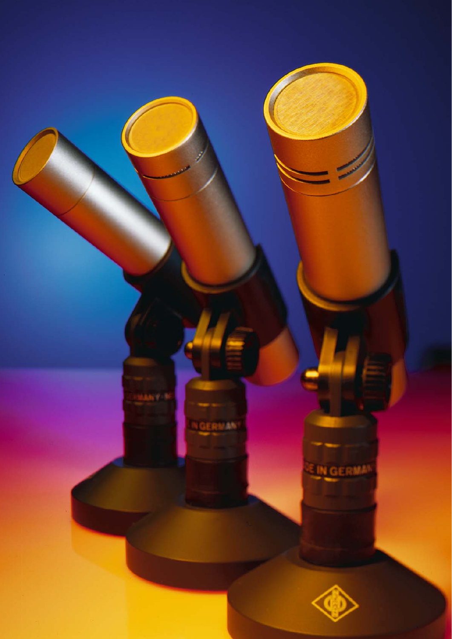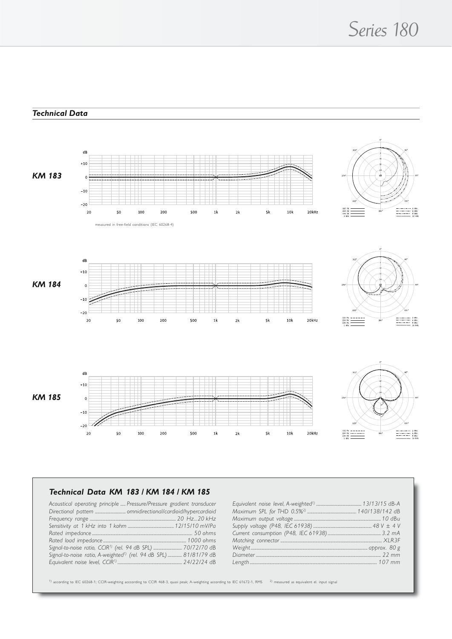## *Technical Data*



# *Technical Data KM 183 / KM 184 / KM 185*

| Acoustical operating principle  Pressure/Pressure gradient transducer         |  |
|-------------------------------------------------------------------------------|--|
|                                                                               |  |
|                                                                               |  |
|                                                                               |  |
|                                                                               |  |
|                                                                               |  |
| Signal-to-noise ratio, CCIR <sup>1)</sup> (rel. 94 dB SPL)  70/72/70 dB       |  |
| Signal-to-noise ratio, A-weighted <sup>1)</sup> (rel. 94 dB SPL)  81/81/79 dB |  |
|                                                                               |  |
|                                                                               |  |

1) according to IEC 60268-1; CCIR-weighting acccording to CCIR 468-3, quasi peak; A-weighting according to IEC 61672-1, RMS <sup>2)</sup> measured as equivalent el. input signal